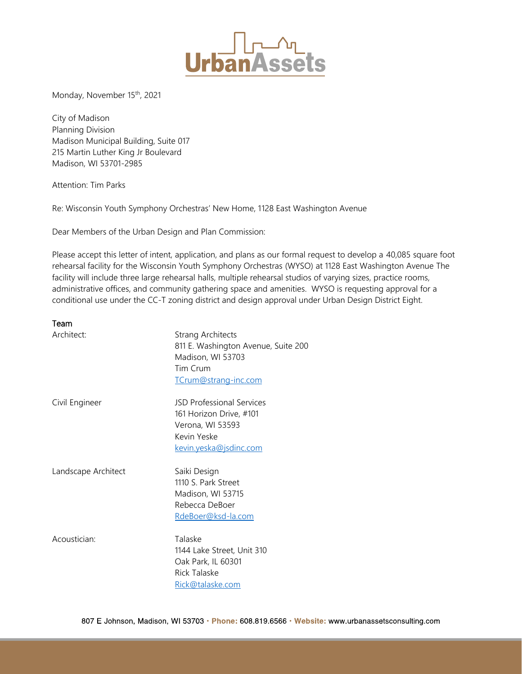

Monday, November 15<sup>th</sup>, 2021

City of Madison Planning Division Madison Municipal Building, Suite 017 215 Martin Luther King Jr Boulevard Madison, WI 53701-2985

Attention: Tim Parks

Re: Wisconsin Youth Symphony Orchestras' New Home, 1128 East Washington Avenue

Dear Members of the Urban Design and Plan Commission:

Please accept this letter of intent, application, and plans as our formal request to develop a 40,085 square foot rehearsal facility for the Wisconsin Youth Symphony Orchestras (WYSO) at 1128 East Washington Avenue The facility will include three large rehearsal halls, multiple rehearsal studios of varying sizes, practice rooms, administrative offices, and community gathering space and amenities. WYSO is requesting approval for a conditional use under the CC-T zoning district and design approval under Urban Design District Eight.

#### Team

| Architect:          | <b>Strang Architects</b><br>811 E. Washington Avenue, Suite 200<br>Madison, WI 53703<br>Tim Crum<br>TCrum@strang-inc.com |
|---------------------|--------------------------------------------------------------------------------------------------------------------------|
| Civil Engineer      | <b>JSD Professional Services</b><br>161 Horizon Drive, #101<br>Verona, WI 53593<br>Kevin Yeske<br>kevin.yeska@jsdinc.com |
| Landscape Architect | Saiki Design<br>1110 S. Park Street<br>Madison, WI 53715<br>Rebecca DeBoer<br>RdeBoer@ksd-la.com                         |
| Acoustician:        | Talaske<br>1144 Lake Street, Unit 310<br>Oak Park, IL 60301<br><b>Rick Talaske</b><br>Rick@talaske.com                   |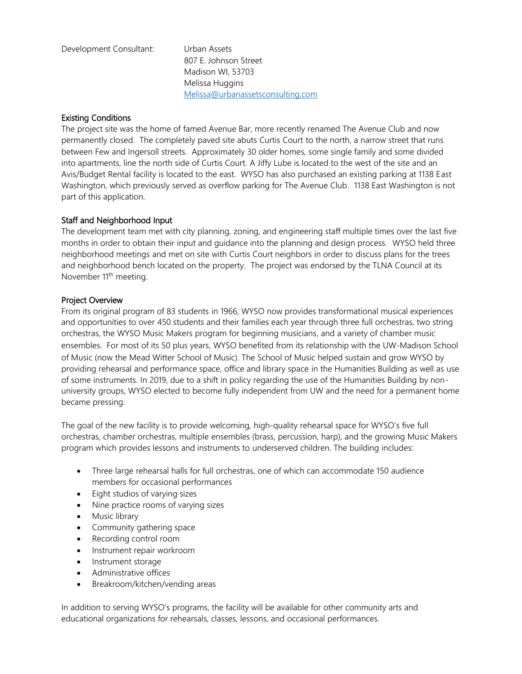Development Consultant: Urban Assets

807 E. Johnson Street Madison WI, 53703 Melissa Huggins [Melissa@urbanassetsconsulting.com](mailto:Melissa@urbanassetsconsulting.com)

# Existing Conditions

The project site was the home of famed Avenue Bar, more recently renamed The Avenue Club and now permanently closed. The completely paved site abuts Curtis Court to the north, a narrow street that runs between Few and Ingersoll streets. Approximately 30 older homes, some single family and some divided into apartments, line the north side of Curtis Court. A Jiffy Lube is located to the west of the site and an Avis/Budget Rental facility is located to the east. WYSO has also purchased an existing parking at 1138 East Washington, which previously served as overflow parking for The Avenue Club. 1138 East Washington is not part of this application.

# Staff and Neighborhood Input

The development team met with city planning, zoning, and engineering staff multiple times over the last five months in order to obtain their input and guidance into the planning and design process. WYSO held three neighborhood meetings and met on site with Curtis Court neighbors in order to discuss plans for the trees and neighborhood bench located on the property. The project was endorsed by the TLNA Council at its November 11<sup>th</sup> meeting.

### Project Overview

From its original program of 83 students in 1966, WYSO now provides transformational musical experiences and opportunities to over 450 students and their families each year through three full orchestras, two string orchestras, the WYSO Music Makers program for beginning musicians, and a variety of chamber music ensembles. For most of its 50 plus years, WYSO benefited from its relationship with the UW-Madison School of Music (now the Mead Witter School of Music). The School of Music helped sustain and grow WYSO by providing rehearsal and performance space, office and library space in the Humanities Building as well as use of some instruments. In 2019, due to a shift in policy regarding the use of the Humanities Building by nonuniversity groups, WYSO elected to become fully independent from UW and the need for a permanent home became pressing.

The goal of the new facility is to provide welcoming, high-quality rehearsal space for WYSO's five full orchestras, chamber orchestras, multiple ensembles (brass, percussion, harp), and the growing Music Makers program which provides lessons and instruments to underserved children. The building includes:

- Three large rehearsal halls for full orchestras, one of which can accommodate 150 audience members for occasional performances
- Eight studios of varying sizes
- Nine practice rooms of varying sizes
- Music library
- Community gathering space
- Recording control room
- Instrument repair workroom
- Instrument storage
- Administrative offices
- Breakroom/kitchen/vending areas

In addition to serving WYSO's programs, the facility will be available for other community arts and educational organizations for rehearsals, classes, lessons, and occasional performances.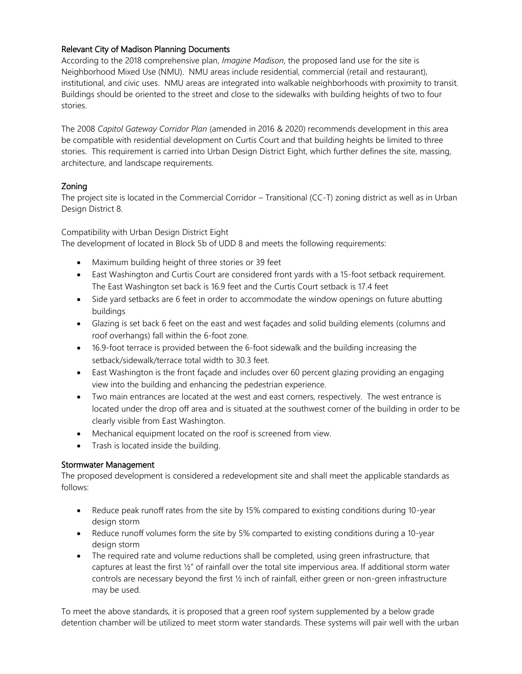# Relevant City of Madison Planning Documents

According to the 2018 comprehensive plan, *Imagine Madison*, the proposed land use for the site is Neighborhood Mixed Use (NMU). NMU areas include residential, commercial (retail and restaurant), institutional, and civic uses. NMU areas are integrated into walkable neighborhoods with proximity to transit. Buildings should be oriented to the street and close to the sidewalks with building heights of two to four stories.

The 2008 *Capitol Gateway Corridor Plan* (amended in 2016 & 2020) recommends development in this area be compatible with residential development on Curtis Court and that building heights be limited to three stories. This requirement is carried into Urban Design District Eight, which further defines the site, massing, architecture, and landscape requirements.

# Zoning

The project site is located in the Commercial Corridor – Transitional (CC-T) zoning district as well as in Urban Design District 8.

Compatibility with Urban Design District Eight

The development of located in Block 5b of UDD 8 and meets the following requirements:

- Maximum building height of three stories or 39 feet
- East Washington and Curtis Court are considered front yards with a 15-foot setback requirement. The East Washington set back is 16.9 feet and the Curtis Court setback is 17.4 feet
- Side yard setbacks are 6 feet in order to accommodate the window openings on future abutting buildings
- Glazing is set back 6 feet on the east and west façades and solid building elements (columns and roof overhangs) fall within the 6-foot zone.
- 16.9-foot terrace is provided between the 6-foot sidewalk and the building increasing the setback/sidewalk/terrace total width to 30.3 feet.
- East Washington is the front façade and includes over 60 percent glazing providing an engaging view into the building and enhancing the pedestrian experience.
- Two main entrances are located at the west and east corners, respectively. The west entrance is located under the drop off area and is situated at the southwest corner of the building in order to be clearly visible from East Washington.
- Mechanical equipment located on the roof is screened from view.
- Trash is located inside the building.

### Stormwater Management

The proposed development is considered a redevelopment site and shall meet the applicable standards as follows:

- Reduce peak runoff rates from the site by 15% compared to existing conditions during 10-year design storm
- Reduce runoff volumes form the site by 5% comparted to existing conditions during a 10-year design storm
- The required rate and volume reductions shall be completed, using green infrastructure, that captures at least the first ½" of rainfall over the total site impervious area. If additional storm water controls are necessary beyond the first ½ inch of rainfall, either green or non-green infrastructure may be used.

To meet the above standards, it is proposed that a green roof system supplemented by a below grade detention chamber will be utilized to meet storm water standards. These systems will pair well with the urban